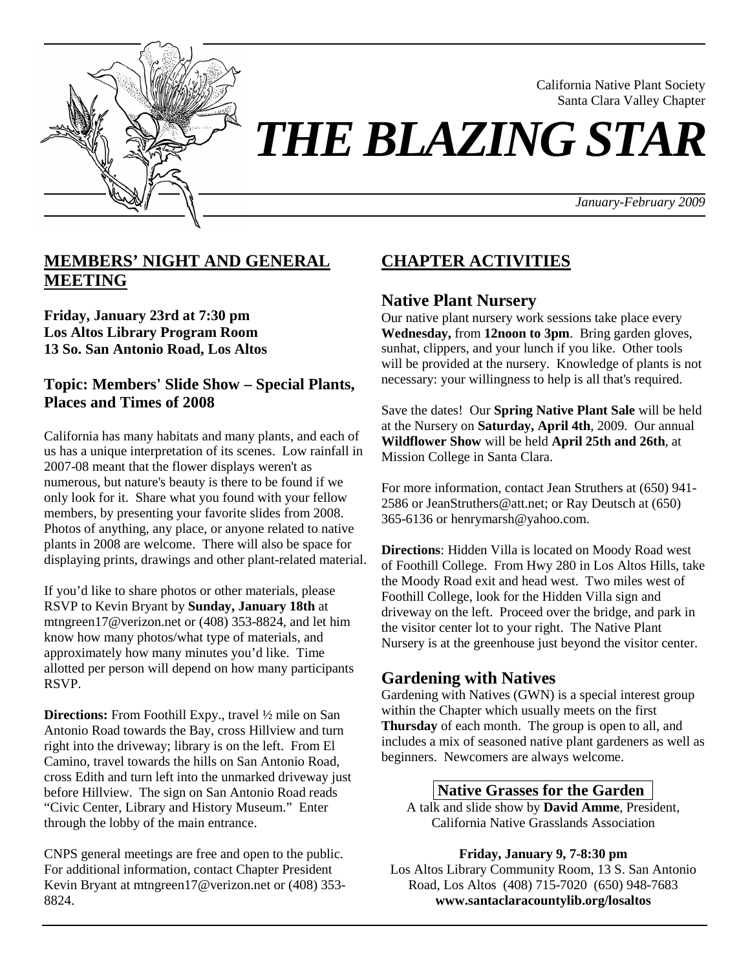

California Native Plant Society Santa Clara Valley Chapter

*THE BLAZING STAR* 

*January-February 2009*

# **MEMBERS' NIGHT AND GENERAL MEETING**

**Friday, January 23rd at 7:30 pm Los Altos Library Program Room 13 So. San Antonio Road, Los Altos** 

**Topic: Members' Slide Show – Special Plants, Places and Times of 2008** 

California has many habitats and many plants, and each of us has a unique interpretation of its scenes. Low rainfall in 2007-08 meant that the flower displays weren't as numerous, but nature's beauty is there to be found if we only look for it. Share what you found with your fellow members, by presenting your favorite slides from 2008. Photos of anything, any place, or anyone related to native plants in 2008 are welcome. There will also be space for displaying prints, drawings and other plant-related material.

If you'd like to share photos or other materials, please RSVP to Kevin Bryant by **Sunday, January 18th** at mtngreen17@verizon.net or (408) 353-8824, and let him know how many photos/what type of materials, and approximately how many minutes you'd like. Time allotted per person will depend on how many participants RSVP.

**Directions:** From Foothill Expy., travel  $\frac{1}{2}$  mile on San Antonio Road towards the Bay, cross Hillview and turn right into the driveway; library is on the left. From El Camino, travel towards the hills on San Antonio Road, cross Edith and turn left into the unmarked driveway just before Hillview. The sign on San Antonio Road reads "Civic Center, Library and History Museum." Enter through the lobby of the main entrance.

CNPS general meetings are free and open to the public. For additional information, contact Chapter President Kevin Bryant at mtngreen17@verizon.net or (408) 353- 8824.

# **CHAPTER ACTIVITIES**

### **Native Plant Nursery**

Our native plant nursery work sessions take place every **Wednesday,** from **12noon to 3pm**. Bring garden gloves, sunhat, clippers, and your lunch if you like. Other tools will be provided at the nursery. Knowledge of plants is not necessary: your willingness to help is all that's required.

Save the dates! Our **Spring Native Plant Sale** will be held at the Nursery on **Saturday, April 4th**, 2009. Our annual **Wildflower Show** will be held **April 25th and 26th**, at Mission College in Santa Clara.

For more information, contact Jean Struthers at (650) 941- 2586 or JeanStruthers@att.net; or Ray Deutsch at (650) 365-6136 or henrymarsh@yahoo.com.

**Directions**: Hidden Villa is located on Moody Road west of Foothill College. From Hwy 280 in Los Altos Hills, take the Moody Road exit and head west. Two miles west of Foothill College, look for the Hidden Villa sign and driveway on the left. Proceed over the bridge, and park in the visitor center lot to your right. The Native Plant Nursery is at the greenhouse just beyond the visitor center.

# **Gardening with Natives**

Gardening with Natives (GWN) is a special interest group within the Chapter which usually meets on the first **Thursday** of each month. The group is open to all, and includes a mix of seasoned native plant gardeners as well as beginners. Newcomers are always welcome.

#### **Native Grasses for the Garden**

A talk and slide show by **David Amme**, President, California Native Grasslands Association

**Friday, January 9, 7-8:30 pm** 

Los Altos Library Community Room, 13 S. San Antonio Road, Los Altos (408) 715-7020 (650) 948-7683 **www.santaclaracountylib.org/losaltos**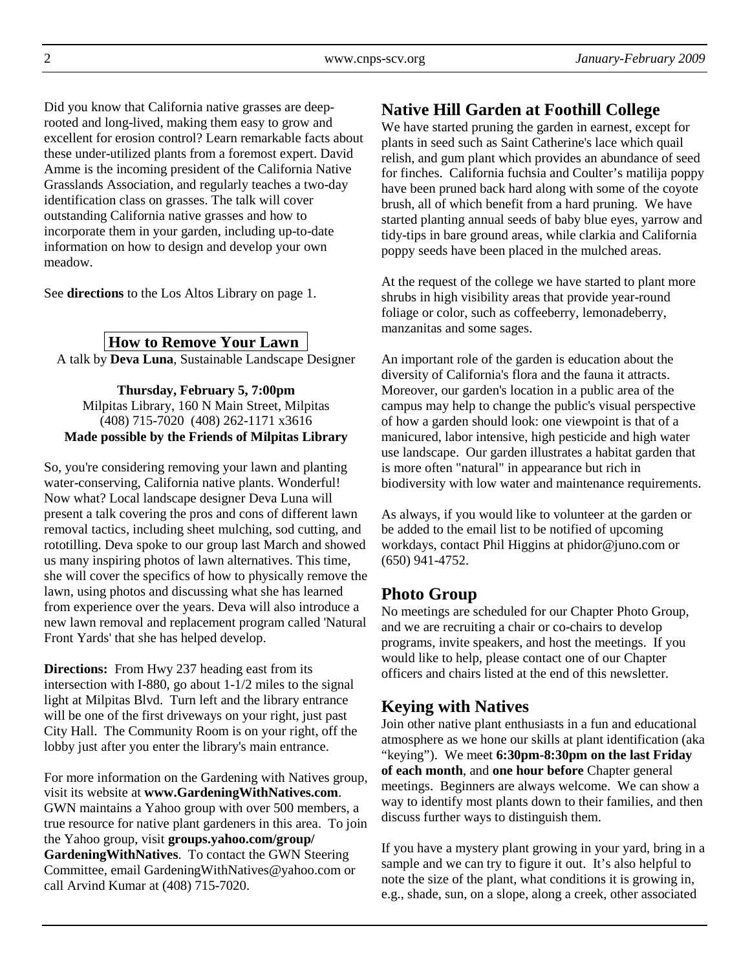Did you know that California native grasses are deeprooted and long-lived, making them easy to grow and excellent for erosion control? Learn remarkable facts about these under-utilized plants from a foremost expert. David Amme is the incoming president of the California Native Grasslands Association, and regularly teaches a two-day identification class on grasses. The talk will cover outstanding California native grasses and how to incorporate them in your garden, including up-to-date information on how to design and develop your own meadow.

See **directions** to the Los Altos Library on page 1.

## **How to Remove Your Lawn**

A talk by **Deva Luna**, Sustainable Landscape Designer

#### **Thursday, February 5, 7:00pm**  Milpitas Library, 160 N Main Street, Milpitas (408) 715-7020 (408) 262-1171 x3616 **Made possible by the Friends of Milpitas Library**

So, you're considering removing your lawn and planting water-conserving, California native plants. Wonderful! Now what? Local landscape designer Deva Luna will present a talk covering the pros and cons of different lawn removal tactics, including sheet mulching, sod cutting, and rototilling. Deva spoke to our group last March and showed us many inspiring photos of lawn alternatives. This time, she will cover the specifics of how to physically remove the lawn, using photos and discussing what she has learned from experience over the years. Deva will also introduce a new lawn removal and replacement program called 'Natural Front Yards' that she has helped develop.

**Directions:** From Hwy 237 heading east from its intersection with I-880, go about 1-1/2 miles to the signal light at Milpitas Blvd. Turn left and the library entrance will be one of the first driveways on your right, just past City Hall. The Community Room is on your right, off the lobby just after you enter the library's main entrance.

For more information on the Gardening with Natives group, visit its website at **www.GardeningWithNatives.com**. GWN maintains a Yahoo group with over 500 members, a true resource for native plant gardeners in this area. To join the Yahoo group, visit **groups.yahoo.com/group/ GardeningWithNatives**. To contact the GWN Steering Committee, email GardeningWithNatives@yahoo.com or call Arvind Kumar at (408) 715-7020.

# **Native Hill Garden at Foothill College**

We have started pruning the garden in earnest, except for plants in seed such as Saint Catherine's lace which quail relish, and gum plant which provides an abundance of seed for finches. California fuchsia and Coulter's matilija poppy have been pruned back hard along with some of the coyote brush, all of which benefit from a hard pruning. We have started planting annual seeds of baby blue eyes, yarrow and tidy-tips in bare ground areas, while clarkia and California poppy seeds have been placed in the mulched areas.

At the request of the college we have started to plant more shrubs in high visibility areas that provide year-round foliage or color, such as coffeeberry, lemonadeberry, manzanitas and some sages.

An important role of the garden is education about the diversity of California's flora and the fauna it attracts. Moreover, our garden's location in a public area of the campus may help to change the public's visual perspective of how a garden should look: one viewpoint is that of a manicured, labor intensive, high pesticide and high water use landscape. Our garden illustrates a habitat garden that is more often "natural" in appearance but rich in biodiversity with low water and maintenance requirements.

As always, if you would like to volunteer at the garden or be added to the email list to be notified of upcoming workdays, contact Phil Higgins at phidor@juno.com or (650) 941-4752.

# **Photo Group**

No meetings are scheduled for our Chapter Photo Group, and we are recruiting a chair or co-chairs to develop programs, invite speakers, and host the meetings. If you would like to help, please contact one of our Chapter officers and chairs listed at the end of this newsletter.

# **Keying with Natives**

Join other native plant enthusiasts in a fun and educational atmosphere as we hone our skills at plant identification (aka "keying"). We meet **6:30pm-8:30pm on the last Friday of each month**, and **one hour before** Chapter general meetings. Beginners are always welcome. We can show a way to identify most plants down to their families, and then discuss further ways to distinguish them.

If you have a mystery plant growing in your yard, bring in a sample and we can try to figure it out. It's also helpful to note the size of the plant, what conditions it is growing in, e.g., shade, sun, on a slope, along a creek, other associated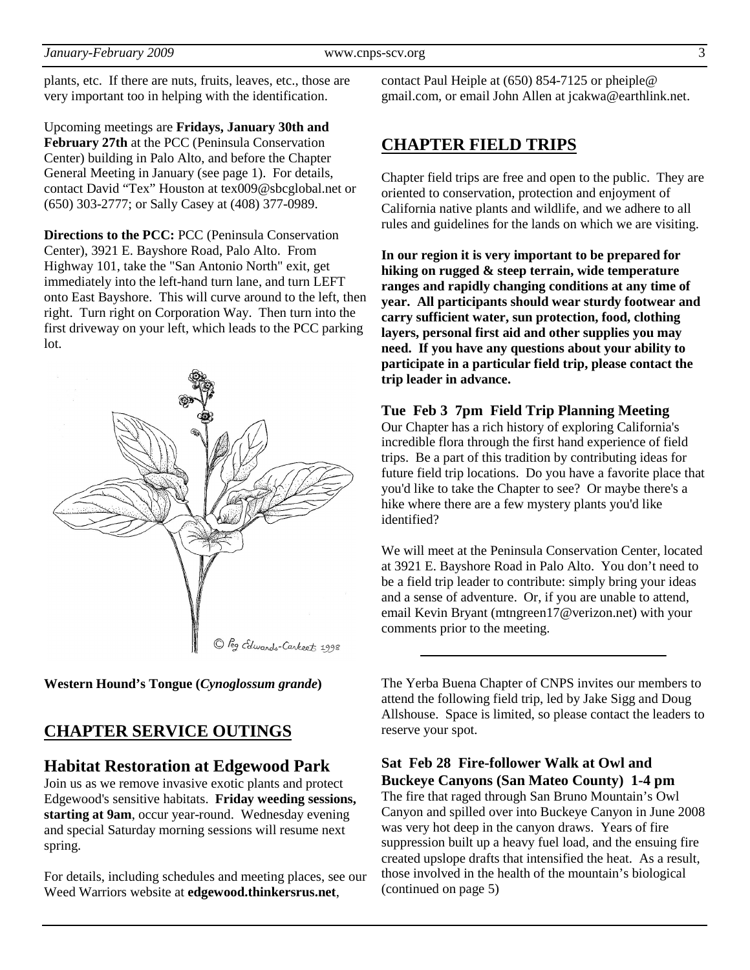plants, etc. If there are nuts, fruits, leaves, etc., those are very important too in helping with the identification.

Upcoming meetings are **Fridays, January 30th and February 27th** at the PCC (Peninsula Conservation Center) building in Palo Alto, and before the Chapter General Meeting in January (see page 1). For details, contact David "Tex" Houston at tex009@sbcglobal.net or (650) 303-2777; or Sally Casey at (408) 377-0989.

**Directions to the PCC:** PCC (Peninsula Conservation Center), 3921 E. Bayshore Road, Palo Alto. From Highway 101, take the "San Antonio North" exit, get immediately into the left-hand turn lane, and turn LEFT onto East Bayshore. This will curve around to the left, then right. Turn right on Corporation Way. Then turn into the first driveway on your left, which leads to the PCC parking lot.

**Western Hound's Tongue (***Cynoglossum grande***)** 

# **CHAPTER SERVICE OUTINGS**

# **Habitat Restoration at Edgewood Park**

Join us as we remove invasive exotic plants and protect Edgewood's sensitive habitats. **Friday weeding sessions, starting at 9am**, occur year-round. Wednesday evening and special Saturday morning sessions will resume next spring.

For details, including schedules and meeting places, see our Weed Warriors website at **edgewood.thinkersrus.net**,

contact Paul Heiple at (650) 854-7125 or pheiple@ gmail.com, or email John Allen at jcakwa@earthlink.net.

# **CHAPTER FIELD TRIPS**

Chapter field trips are free and open to the public. They are oriented to conservation, protection and enjoyment of California native plants and wildlife, and we adhere to all rules and guidelines for the lands on which we are visiting.

**In our region it is very important to be prepared for hiking on rugged & steep terrain, wide temperature ranges and rapidly changing conditions at any time of year. All participants should wear sturdy footwear and carry sufficient water, sun protection, food, clothing layers, personal first aid and other supplies you may need. If you have any questions about your ability to participate in a particular field trip, please contact the trip leader in advance.** 

## **Tue Feb 3 7pm Field Trip Planning Meeting**

Our Chapter has a rich history of exploring California's incredible flora through the first hand experience of field trips. Be a part of this tradition by contributing ideas for future field trip locations. Do you have a favorite place that you'd like to take the Chapter to see? Or maybe there's a hike where there are a few mystery plants you'd like identified?

We will meet at the Peninsula Conservation Center, located at 3921 E. Bayshore Road in Palo Alto. You don't need to be a field trip leader to contribute: simply bring your ideas and a sense of adventure. Or, if you are unable to attend, email Kevin Bryant (mtngreen17@verizon.net) with your comments prior to the meeting.

The Yerba Buena Chapter of CNPS invites our members to attend the following field trip, led by Jake Sigg and Doug Allshouse. Space is limited, so please contact the leaders to reserve your spot.

### **Sat Feb 28 Fire-follower Walk at Owl and Buckeye Canyons (San Mateo County) 1-4 pm**

The fire that raged through San Bruno Mountain's Owl Canyon and spilled over into Buckeye Canyon in June 2008 was very hot deep in the canyon draws. Years of fire suppression built up a heavy fuel load, and the ensuing fire created upslope drafts that intensified the heat. As a result, those involved in the health of the mountain's biological (continued on page 5)



O Peg Edwards-Carkeet 1998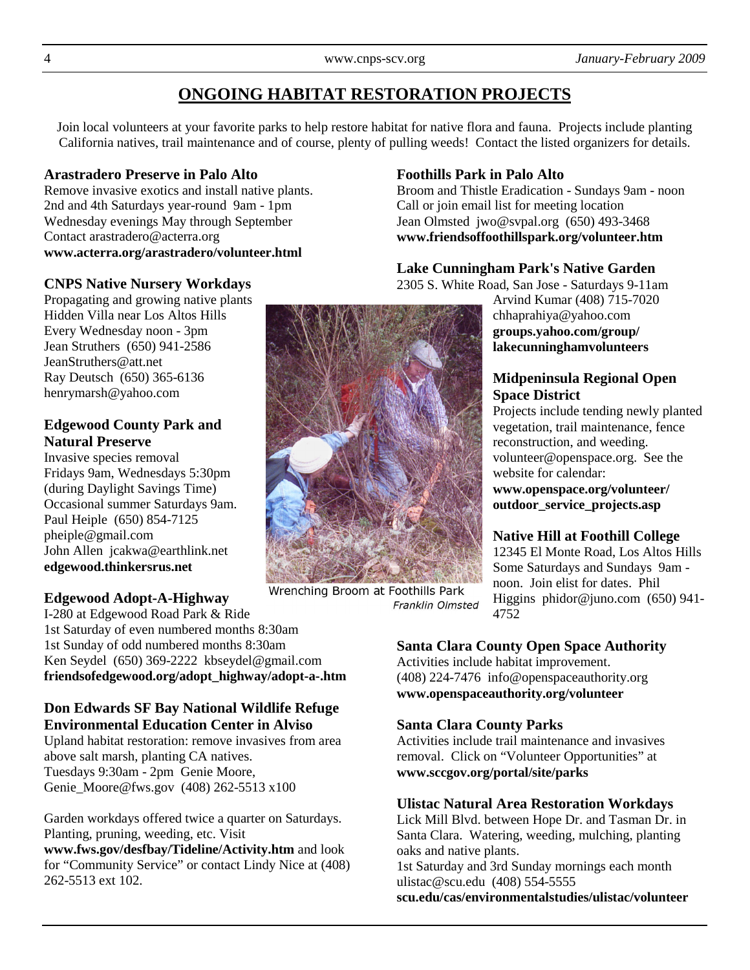# **ONGOING HABITAT RESTORATION PROJECTS**

Join local volunteers at your favorite parks to help restore habitat for native flora and fauna. Projects include planting California natives, trail maintenance and of course, plenty of pulling weeds! Contact the listed organizers for details.

#### **Arastradero Preserve in Palo Alto**

Remove invasive exotics and install native plants. 2nd and 4th Saturdays year-round 9am - 1pm Wednesday evenings May through September Contact arastradero@acterra.org **www.acterra.org/arastradero/volunteer.html** 

#### **CNPS Native Nursery Workdays**

Propagating and growing native plants Hidden Villa near Los Altos Hills Every Wednesday noon - 3pm Jean Struthers (650) 941-2586 JeanStruthers@att.net Ray Deutsch (650) 365-6136 henrymarsh@yahoo.com

#### **Edgewood County Park and Natural Preserve**

Invasive species removal Fridays 9am, Wednesdays 5:30pm (during Daylight Savings Time) Occasional summer Saturdays 9am. Paul Heiple (650) 854-7125 pheiple@gmail.com John Allen jcakwa@earthlink.net **edgewood.thinkersrus.net** 

#### **Edgewood Adopt-A-Highway**

I-280 at Edgewood Road Park & Ride 1st Saturday of even numbered months 8:30am 1st Sunday of odd numbered months 8:30am Ken Seydel (650) 369-2222 kbseydel@gmail.com **friendsofedgewood.org/adopt\_highway/adopt-a-.htm** 

#### **Don Edwards SF Bay National Wildlife Refuge Environmental Education Center in Alviso**

Upland habitat restoration: remove invasives from area above salt marsh, planting CA natives. Tuesdays 9:30am - 2pm Genie Moore, Genie\_Moore@fws.gov (408) 262-5513 x100

Garden workdays offered twice a quarter on Saturdays. Planting, pruning, weeding, etc. Visit **www.fws.gov/desfbay/Tideline/Activity.htm** and look for "Community Service" or contact Lindy Nice at (408) 262-5513 ext 102.

Wrenching Broom at Foothills Park Franklin Olmsted

## **Foothills Park in Palo Alto**

Broom and Thistle Eradication - Sundays 9am - noon Call or join email list for meeting location Jean Olmsted jwo@svpal.org (650) 493-3468 **www.friendsoffoothillspark.org/volunteer.htm** 

#### **Lake Cunningham Park's Native Garden**

2305 S. White Road, San Jose - Saturdays 9-11am

Arvind Kumar (408) 715-7020 chhaprahiya@yahoo.com **groups.yahoo.com/group/ lakecunninghamvolunteers** 

#### **Midpeninsula Regional Open Space District**

Projects include tending newly planted vegetation, trail maintenance, fence reconstruction, and weeding. volunteer@openspace.org. See the website for calendar:

**www.openspace.org/volunteer/ outdoor\_service\_projects.asp** 

#### **Native Hill at Foothill College**

12345 El Monte Road, Los Altos Hills Some Saturdays and Sundays 9am noon. Join elist for dates. Phil Higgins phidor@juno.com (650) 941- 4752

## **Santa Clara County Open Space Authority**

Activities include habitat improvement. (408) 224-7476 info@openspaceauthority.org **www.openspaceauthority.org/volunteer** 

#### **Santa Clara County Parks**

Activities include trail maintenance and invasives removal. Click on "Volunteer Opportunities" at **www.sccgov.org/portal/site/parks** 

#### **Ulistac Natural Area Restoration Workdays**

Lick Mill Blvd. between Hope Dr. and Tasman Dr. in Santa Clara. Watering, weeding, mulching, planting oaks and native plants.

1st Saturday and 3rd Sunday mornings each month ulistac@scu.edu (408) 554-5555 **scu.edu/cas/environmentalstudies/ulistac/volunteer** 

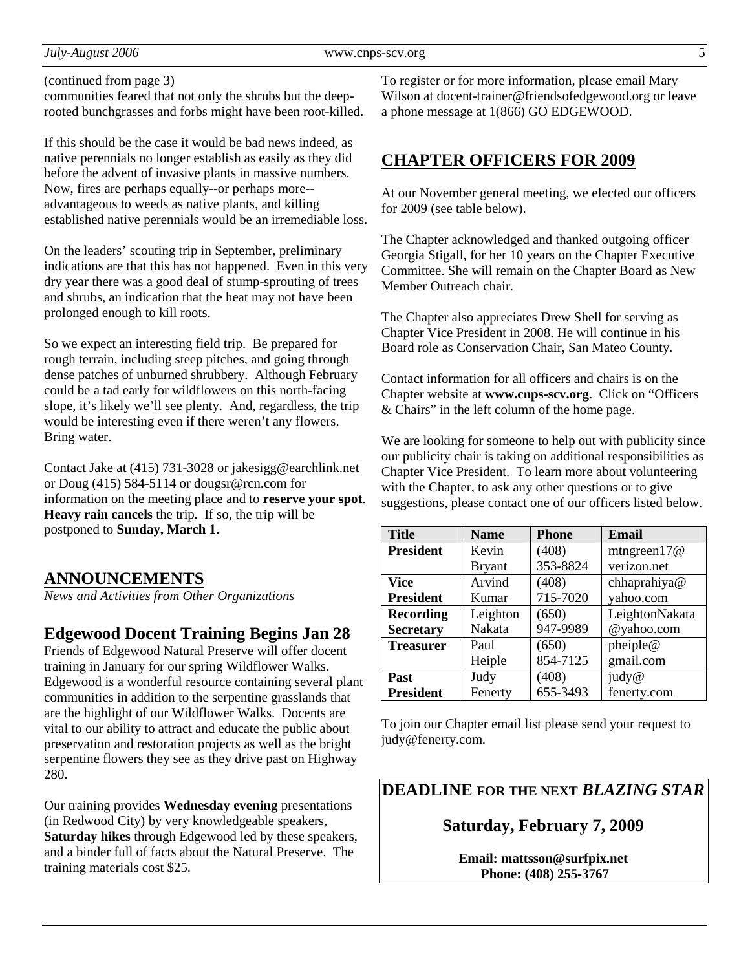#### (continued from page 3)

communities feared that not only the shrubs but the deeprooted bunchgrasses and forbs might have been root-killed.

If this should be the case it would be bad news indeed, as native perennials no longer establish as easily as they did before the advent of invasive plants in massive numbers. Now, fires are perhaps equally--or perhaps more- advantageous to weeds as native plants, and killing established native perennials would be an irremediable loss.

On the leaders' scouting trip in September, preliminary indications are that this has not happened. Even in this very dry year there was a good deal of stump-sprouting of trees and shrubs, an indication that the heat may not have been prolonged enough to kill roots.

So we expect an interesting field trip. Be prepared for rough terrain, including steep pitches, and going through dense patches of unburned shrubbery. Although February could be a tad early for wildflowers on this north-facing slope, it's likely we'll see plenty. And, regardless, the trip would be interesting even if there weren't any flowers. Bring water.

Contact Jake at (415) 731-3028 or jakesigg@earchlink.net or Doug (415) 584-5114 or dougsr@rcn.com for information on the meeting place and to **reserve your spot**. **Heavy rain cancels** the trip. If so, the trip will be postponed to **Sunday, March 1.** 

#### **ANNOUNCEMENTS**

*News and Activities from Other Organizations*

#### **Edgewood Docent Training Begins Jan 28**

Friends of Edgewood Natural Preserve will offer docent training in January for our spring Wildflower Walks. Edgewood is a wonderful resource containing several plant communities in addition to the serpentine grasslands that are the highlight of our Wildflower Walks. Docents are vital to our ability to attract and educate the public about preservation and restoration projects as well as the bright serpentine flowers they see as they drive past on Highway 280.

Our training provides **Wednesday evening** presentations (in Redwood City) by very knowledgeable speakers, **Saturday hikes** through Edgewood led by these speakers, and a binder full of facts about the Natural Preserve. The training materials cost \$25.

To register or for more information, please email Mary Wilson at docent-trainer@friendsofedgewood.org or leave a phone message at 1(866) GO EDGEWOOD.

#### **CHAPTER OFFICERS FOR 2009**

At our November general meeting, we elected our officers for 2009 (see table below).

The Chapter acknowledged and thanked outgoing officer Georgia Stigall, for her 10 years on the Chapter Executive Committee. She will remain on the Chapter Board as New Member Outreach chair.

The Chapter also appreciates Drew Shell for serving as Chapter Vice President in 2008. He will continue in his Board role as Conservation Chair, San Mateo County.

Contact information for all officers and chairs is on the Chapter website at **www.cnps-scv.org**. Click on "Officers & Chairs" in the left column of the home page.

We are looking for someone to help out with publicity since our publicity chair is taking on additional responsibilities as Chapter Vice President. To learn more about volunteering with the Chapter, to ask any other questions or to give suggestions, please contact one of our officers listed below.

| <b>Title</b>     | <b>Name</b>   | <b>Phone</b> | <b>Email</b>   |
|------------------|---------------|--------------|----------------|
| <b>President</b> | Kevin         | (408)        | mtngreen $17@$ |
|                  | <b>Bryant</b> | 353-8824     | verizon.net    |
| <b>Vice</b>      | Arvind        | (408)        | chhaprahiya@   |
| <b>President</b> | Kumar         | 715-7020     | yahoo.com      |
| <b>Recording</b> | Leighton      | (650)        | LeightonNakata |
| <b>Secretary</b> | Nakata        | 947-9989     | @yahoo.com     |
| <b>Treasurer</b> | Paul          | (650)        | pheiple@       |
|                  | Heiple        | 854-7125     | gmail.com      |
| Past             | Judy          | (408)        | judy@          |
| <b>President</b> | Fenerty       | 655-3493     | fenerty.com    |

To join our Chapter email list please send your request to judy@fenerty.com.

**DEADLINE FOR THE NEXT** *BLAZING STAR* 

**Saturday, February 7, 2009** 

**Email: mattsson@surfpix.net Phone: (408) 255-3767**